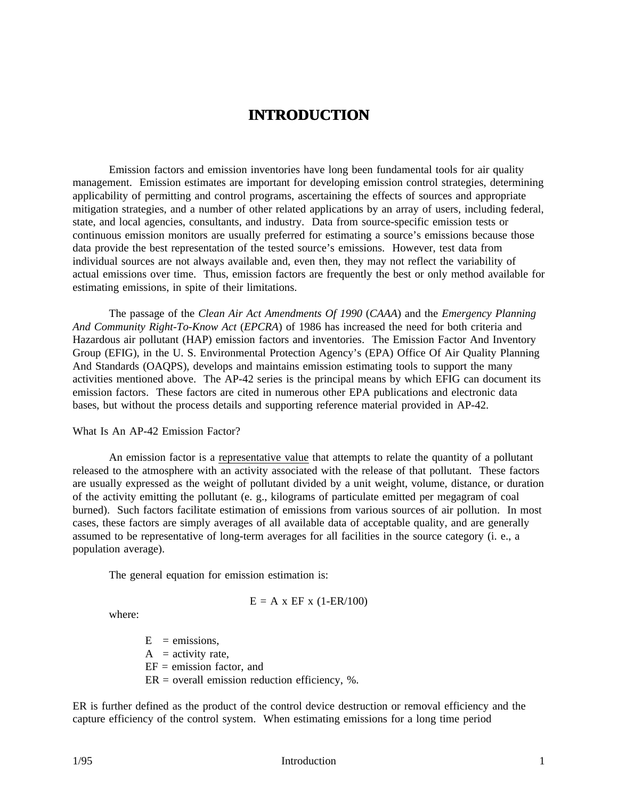# **INTRODUCTION**

Emission factors and emission inventories have long been fundamental tools for air quality management. Emission estimates are important for developing emission control strategies, determining applicability of permitting and control programs, ascertaining the effects of sources and appropriate mitigation strategies, and a number of other related applications by an array of users, including federal, state, and local agencies, consultants, and industry. Data from source-specific emission tests or continuous emission monitors are usually preferred for estimating a source's emissions because those data provide the best representation of the tested source's emissions. However, test data from individual sources are not always available and, even then, they may not reflect the variability of actual emissions over time. Thus, emission factors are frequently the best or only method available for estimating emissions, in spite of their limitations.

The passage of the *Clean Air Act Amendments Of 1990* (*CAAA*) and the *Emergency Planning And Community Right-To-Know Act* (*EPCRA*) of 1986 has increased the need for both criteria and Hazardous air pollutant (HAP) emission factors and inventories. The Emission Factor And Inventory Group (EFIG), in the U. S. Environmental Protection Agency's (EPA) Office Of Air Quality Planning And Standards (OAQPS), develops and maintains emission estimating tools to support the many activities mentioned above. The AP-42 series is the principal means by which EFIG can document its emission factors. These factors are cited in numerous other EPA publications and electronic data bases, but without the process details and supporting reference material provided in AP-42.

What Is An AP-42 Emission Factor?

An emission factor is a representative value that attempts to relate the quantity of a pollutant released to the atmosphere with an activity associated with the release of that pollutant. These factors are usually expressed as the weight of pollutant divided by a unit weight, volume, distance, or duration of the activity emitting the pollutant (e. g., kilograms of particulate emitted per megagram of coal burned). Such factors facilitate estimation of emissions from various sources of air pollution. In most cases, these factors are simply averages of all available data of acceptable quality, and are generally assumed to be representative of long-term averages for all facilities in the source category (i. e., a population average).

The general equation for emission estimation is:

$$
E = A \times EF \times (1-ER/100)
$$

where:

 $E$  = emissions,  $A =$ activity rate,  $EF =$  emission factor, and  $ER = overall emission reduction efficiency, %$ .

ER is further defined as the product of the control device destruction or removal efficiency and the capture efficiency of the control system. When estimating emissions for a long time period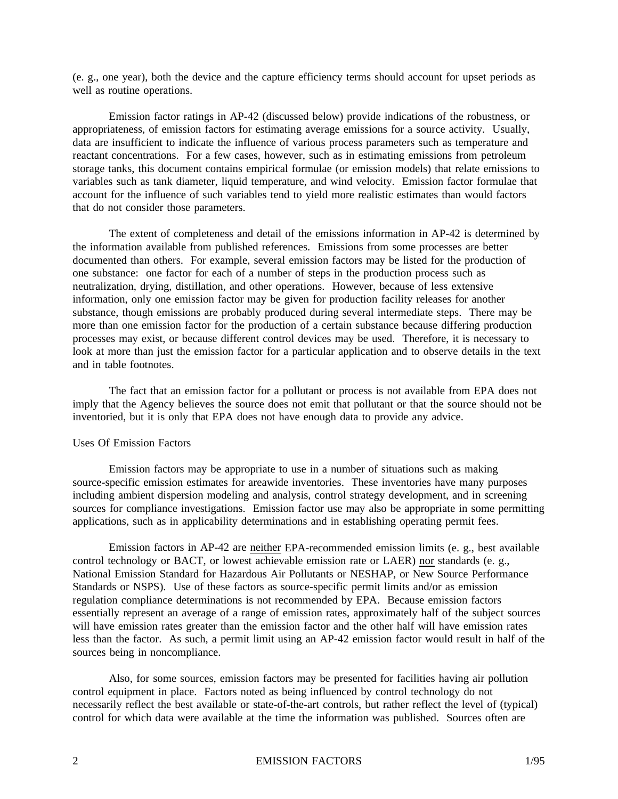(e. g., one year), both the device and the capture efficiency terms should account for upset periods as well as routine operations.

Emission factor ratings in AP-42 (discussed below) provide indications of the robustness, or appropriateness, of emission factors for estimating average emissions for a source activity. Usually, data are insufficient to indicate the influence of various process parameters such as temperature and reactant concentrations. For a few cases, however, such as in estimating emissions from petroleum storage tanks, this document contains empirical formulae (or emission models) that relate emissions to variables such as tank diameter, liquid temperature, and wind velocity. Emission factor formulae that account for the influence of such variables tend to yield more realistic estimates than would factors that do not consider those parameters.

The extent of completeness and detail of the emissions information in AP-42 is determined by the information available from published references. Emissions from some processes are better documented than others. For example, several emission factors may be listed for the production of one substance: one factor for each of a number of steps in the production process such as neutralization, drying, distillation, and other operations. However, because of less extensive information, only one emission factor may be given for production facility releases for another substance, though emissions are probably produced during several intermediate steps. There may be more than one emission factor for the production of a certain substance because differing production processes may exist, or because different control devices may be used. Therefore, it is necessary to look at more than just the emission factor for a particular application and to observe details in the text and in table footnotes.

The fact that an emission factor for a pollutant or process is not available from EPA does not imply that the Agency believes the source does not emit that pollutant or that the source should not be inventoried, but it is only that EPA does not have enough data to provide any advice.

#### Uses Of Emission Factors

Emission factors may be appropriate to use in a number of situations such as making source-specific emission estimates for areawide inventories. These inventories have many purposes including ambient dispersion modeling and analysis, control strategy development, and in screening sources for compliance investigations. Emission factor use may also be appropriate in some permitting applications, such as in applicability determinations and in establishing operating permit fees.

Emission factors in AP-42 are neither EPA-recommended emission limits (e. g., best available control technology or BACT, or lowest achievable emission rate or LAER) nor standards (e. g., National Emission Standard for Hazardous Air Pollutants or NESHAP, or New Source Performance Standards or NSPS). Use of these factors as source-specific permit limits and/or as emission regulation compliance determinations is not recommended by EPA. Because emission factors essentially represent an average of a range of emission rates, approximately half of the subject sources will have emission rates greater than the emission factor and the other half will have emission rates less than the factor. As such, a permit limit using an AP-42 emission factor would result in half of the sources being in noncompliance.

Also, for some sources, emission factors may be presented for facilities having air pollution control equipment in place. Factors noted as being influenced by control technology do not necessarily reflect the best available or state-of-the-art controls, but rather reflect the level of (typical) control for which data were available at the time the information was published. Sources often are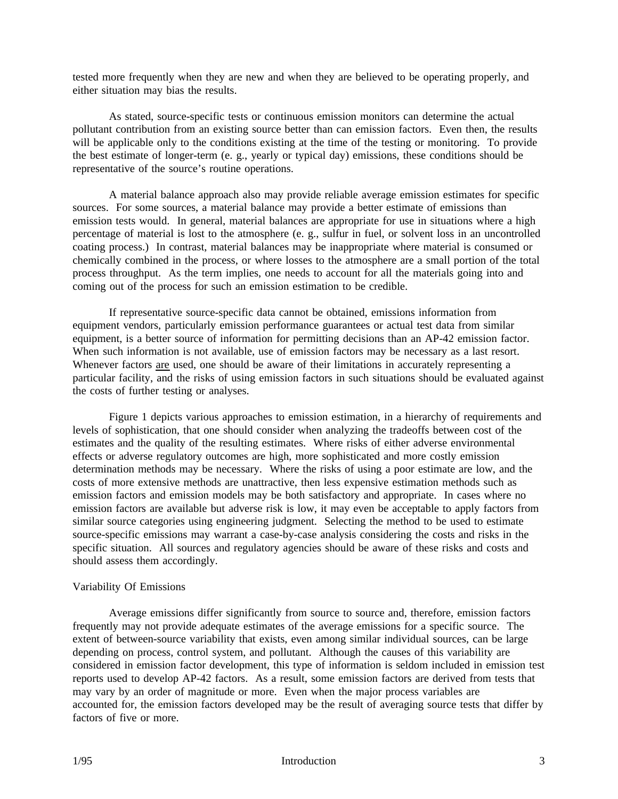tested more frequently when they are new and when they are believed to be operating properly, and either situation may bias the results.

As stated, source-specific tests or continuous emission monitors can determine the actual pollutant contribution from an existing source better than can emission factors. Even then, the results will be applicable only to the conditions existing at the time of the testing or monitoring. To provide the best estimate of longer-term (e. g., yearly or typical day) emissions, these conditions should be representative of the source's routine operations.

A material balance approach also may provide reliable average emission estimates for specific sources. For some sources, a material balance may provide a better estimate of emissions than emission tests would. In general, material balances are appropriate for use in situations where a high percentage of material is lost to the atmosphere (e. g., sulfur in fuel, or solvent loss in an uncontrolled coating process.) In contrast, material balances may be inappropriate where material is consumed or chemically combined in the process, or where losses to the atmosphere are a small portion of the total process throughput. As the term implies, one needs to account for all the materials going into and coming out of the process for such an emission estimation to be credible.

If representative source-specific data cannot be obtained, emissions information from equipment vendors, particularly emission performance guarantees or actual test data from similar equipment, is a better source of information for permitting decisions than an AP-42 emission factor. When such information is not available, use of emission factors may be necessary as a last resort. Whenever factors are used, one should be aware of their limitations in accurately representing a particular facility, and the risks of using emission factors in such situations should be evaluated against the costs of further testing or analyses.

Figure 1 depicts various approaches to emission estimation, in a hierarchy of requirements and levels of sophistication, that one should consider when analyzing the tradeoffs between cost of the estimates and the quality of the resulting estimates. Where risks of either adverse environmental effects or adverse regulatory outcomes are high, more sophisticated and more costly emission determination methods may be necessary. Where the risks of using a poor estimate are low, and the costs of more extensive methods are unattractive, then less expensive estimation methods such as emission factors and emission models may be both satisfactory and appropriate. In cases where no emission factors are available but adverse risk is low, it may even be acceptable to apply factors from similar source categories using engineering judgment. Selecting the method to be used to estimate source-specific emissions may warrant a case-by-case analysis considering the costs and risks in the specific situation. All sources and regulatory agencies should be aware of these risks and costs and should assess them accordingly.

#### Variability Of Emissions

Average emissions differ significantly from source to source and, therefore, emission factors frequently may not provide adequate estimates of the average emissions for a specific source. The extent of between-source variability that exists, even among similar individual sources, can be large depending on process, control system, and pollutant. Although the causes of this variability are considered in emission factor development, this type of information is seldom included in emission test reports used to develop AP-42 factors. As a result, some emission factors are derived from tests that may vary by an order of magnitude or more. Even when the major process variables are accounted for, the emission factors developed may be the result of averaging source tests that differ by factors of five or more.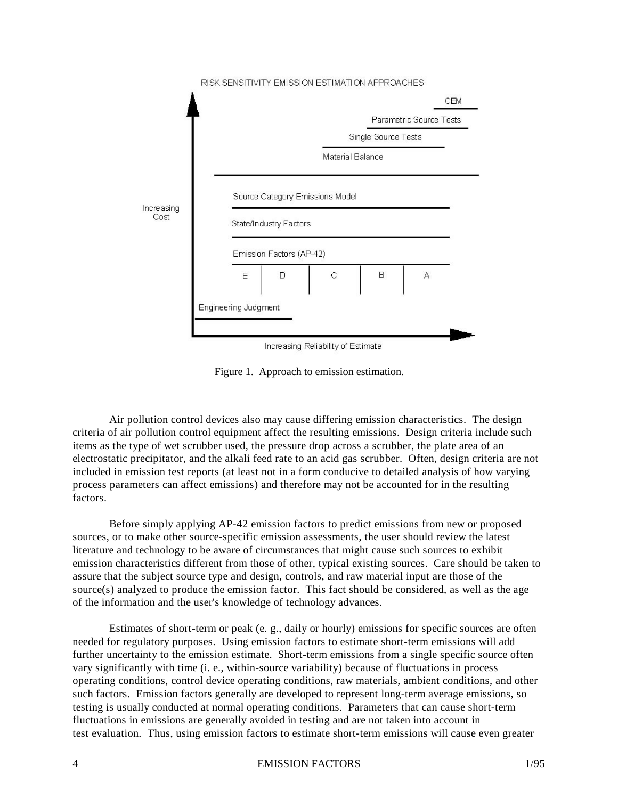|                    |                      |                     |                                                                                            |   | RISK SENSITIVITY EMISSION ESTIMATION APPROACHES |                         |     |  |
|--------------------|----------------------|---------------------|--------------------------------------------------------------------------------------------|---|-------------------------------------------------|-------------------------|-----|--|
|                    |                      |                     |                                                                                            |   |                                                 |                         | CEM |  |
| Increasing<br>Cost |                      |                     |                                                                                            |   |                                                 | Parametric Source Tests |     |  |
|                    |                      | Single Source Tests |                                                                                            |   |                                                 |                         |     |  |
|                    |                      | Material Balance    |                                                                                            |   |                                                 |                         |     |  |
|                    |                      | E                   | Source Category Emissions Model<br>State/Industry Factors<br>Emission Factors (AP-42)<br>D | C | B.                                              | $\mathsf A$             |     |  |
|                    |                      |                     |                                                                                            |   |                                                 |                         |     |  |
|                    | Engineering Judgment |                     |                                                                                            |   |                                                 |                         |     |  |
|                    |                      |                     |                                                                                            |   |                                                 |                         |     |  |
|                    |                      |                     | Increasing Reliability of Estimate                                                         |   |                                                 |                         |     |  |

Figure 1. Approach to emission estimation.

Air pollution control devices also may cause differing emission characteristics. The design criteria of air pollution control equipment affect the resulting emissions. Design criteria include such items as the type of wet scrubber used, the pressure drop across a scrubber, the plate area of an electrostatic precipitator, and the alkali feed rate to an acid gas scrubber. Often, design criteria are not included in emission test reports (at least not in a form conducive to detailed analysis of how varying process parameters can affect emissions) and therefore may not be accounted for in the resulting factors.

Before simply applying AP-42 emission factors to predict emissions from new or proposed sources, or to make other source-specific emission assessments, the user should review the latest literature and technology to be aware of circumstances that might cause such sources to exhibit emission characteristics different from those of other, typical existing sources. Care should be taken to assure that the subject source type and design, controls, and raw material input are those of the source(s) analyzed to produce the emission factor. This fact should be considered, as well as the age of the information and the user's knowledge of technology advances.

Estimates of short-term or peak (e. g., daily or hourly) emissions for specific sources are often needed for regulatory purposes. Using emission factors to estimate short-term emissions will add further uncertainty to the emission estimate. Short-term emissions from a single specific source often vary significantly with time (i. e., within-source variability) because of fluctuations in process operating conditions, control device operating conditions, raw materials, ambient conditions, and other such factors. Emission factors generally are developed to represent long-term average emissions, so testing is usually conducted at normal operating conditions. Parameters that can cause short-term fluctuations in emissions are generally avoided in testing and are not taken into account in test evaluation. Thus, using emission factors to estimate short-term emissions will cause even greater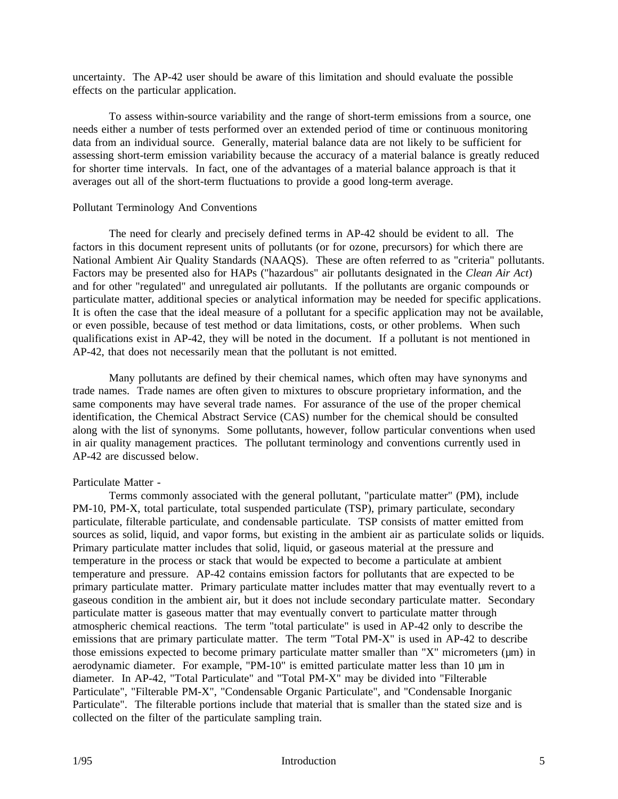uncertainty. The AP-42 user should be aware of this limitation and should evaluate the possible effects on the particular application.

To assess within-source variability and the range of short-term emissions from a source, one needs either a number of tests performed over an extended period of time or continuous monitoring data from an individual source. Generally, material balance data are not likely to be sufficient for assessing short-term emission variability because the accuracy of a material balance is greatly reduced for shorter time intervals. In fact, one of the advantages of a material balance approach is that it averages out all of the short-term fluctuations to provide a good long-term average.

## Pollutant Terminology And Conventions

The need for clearly and precisely defined terms in AP-42 should be evident to all. The factors in this document represent units of pollutants (or for ozone, precursors) for which there are National Ambient Air Quality Standards (NAAQS). These are often referred to as "criteria" pollutants. Factors may be presented also for HAPs ("hazardous" air pollutants designated in the *Clean Air Act*) and for other "regulated" and unregulated air pollutants. If the pollutants are organic compounds or particulate matter, additional species or analytical information may be needed for specific applications. It is often the case that the ideal measure of a pollutant for a specific application may not be available, or even possible, because of test method or data limitations, costs, or other problems. When such qualifications exist in AP-42, they will be noted in the document. If a pollutant is not mentioned in AP-42, that does not necessarily mean that the pollutant is not emitted.

Many pollutants are defined by their chemical names, which often may have synonyms and trade names. Trade names are often given to mixtures to obscure proprietary information, and the same components may have several trade names. For assurance of the use of the proper chemical identification, the Chemical Abstract Service (CAS) number for the chemical should be consulted along with the list of synonyms. Some pollutants, however, follow particular conventions when used in air quality management practices. The pollutant terminology and conventions currently used in AP-42 are discussed below.

# Particulate Matter -

Terms commonly associated with the general pollutant, "particulate matter" (PM), include PM-10, PM-X, total particulate, total suspended particulate (TSP), primary particulate, secondary particulate, filterable particulate, and condensable particulate. TSP consists of matter emitted from sources as solid, liquid, and vapor forms, but existing in the ambient air as particulate solids or liquids. Primary particulate matter includes that solid, liquid, or gaseous material at the pressure and temperature in the process or stack that would be expected to become a particulate at ambient temperature and pressure. AP-42 contains emission factors for pollutants that are expected to be primary particulate matter. Primary particulate matter includes matter that may eventually revert to a gaseous condition in the ambient air, but it does not include secondary particulate matter. Secondary particulate matter is gaseous matter that may eventually convert to particulate matter through atmospheric chemical reactions. The term "total particulate" is used in AP-42 only to describe the emissions that are primary particulate matter. The term "Total PM-X" is used in AP-42 to describe those emissions expected to become primary particulate matter smaller than "X" micrometers  $(\mu m)$  in aerodynamic diameter. For example, "PM-10" is emitted particulate matter less than 10  $\mu$ m in diameter. In AP-42, "Total Particulate" and "Total PM-X" may be divided into "Filterable Particulate", "Filterable PM-X", "Condensable Organic Particulate", and "Condensable Inorganic Particulate". The filterable portions include that material that is smaller than the stated size and is collected on the filter of the particulate sampling train.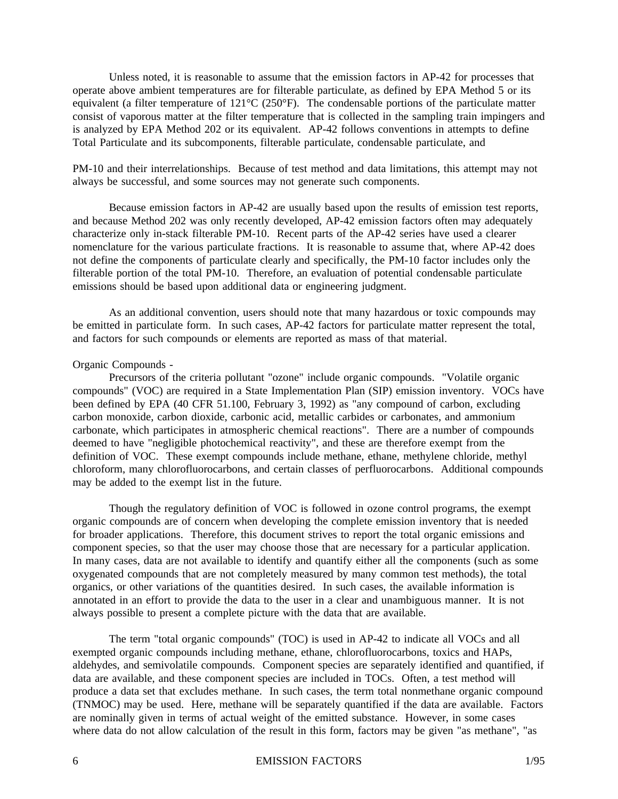Unless noted, it is reasonable to assume that the emission factors in AP-42 for processes that operate above ambient temperatures are for filterable particulate, as defined by EPA Method 5 or its equivalent (a filter temperature of 121°C (250°F). The condensable portions of the particulate matter consist of vaporous matter at the filter temperature that is collected in the sampling train impingers and is analyzed by EPA Method 202 or its equivalent. AP-42 follows conventions in attempts to define Total Particulate and its subcomponents, filterable particulate, condensable particulate, and

PM-10 and their interrelationships. Because of test method and data limitations, this attempt may not always be successful, and some sources may not generate such components.

Because emission factors in AP-42 are usually based upon the results of emission test reports, and because Method 202 was only recently developed, AP-42 emission factors often may adequately characterize only in-stack filterable PM-10. Recent parts of the AP-42 series have used a clearer nomenclature for the various particulate fractions. It is reasonable to assume that, where AP-42 does not define the components of particulate clearly and specifically, the PM-10 factor includes only the filterable portion of the total PM-10. Therefore, an evaluation of potential condensable particulate emissions should be based upon additional data or engineering judgment.

As an additional convention, users should note that many hazardous or toxic compounds may be emitted in particulate form. In such cases, AP-42 factors for particulate matter represent the total, and factors for such compounds or elements are reported as mass of that material.

#### Organic Compounds -

Precursors of the criteria pollutant "ozone" include organic compounds. "Volatile organic compounds" (VOC) are required in a State Implementation Plan (SIP) emission inventory. VOCs have been defined by EPA (40 CFR 51.100, February 3, 1992) as "any compound of carbon, excluding carbon monoxide, carbon dioxide, carbonic acid, metallic carbides or carbonates, and ammonium carbonate, which participates in atmospheric chemical reactions". There are a number of compounds deemed to have "negligible photochemical reactivity", and these are therefore exempt from the definition of VOC. These exempt compounds include methane, ethane, methylene chloride, methyl chloroform, many chlorofluorocarbons, and certain classes of perfluorocarbons. Additional compounds may be added to the exempt list in the future.

Though the regulatory definition of VOC is followed in ozone control programs, the exempt organic compounds are of concern when developing the complete emission inventory that is needed for broader applications. Therefore, this document strives to report the total organic emissions and component species, so that the user may choose those that are necessary for a particular application. In many cases, data are not available to identify and quantify either all the components (such as some oxygenated compounds that are not completely measured by many common test methods), the total organics, or other variations of the quantities desired. In such cases, the available information is annotated in an effort to provide the data to the user in a clear and unambiguous manner. It is not always possible to present a complete picture with the data that are available.

The term "total organic compounds" (TOC) is used in AP-42 to indicate all VOCs and all exempted organic compounds including methane, ethane, chlorofluorocarbons, toxics and HAPs, aldehydes, and semivolatile compounds. Component species are separately identified and quantified, if data are available, and these component species are included in TOCs. Often, a test method will produce a data set that excludes methane. In such cases, the term total nonmethane organic compound (TNMOC) may be used. Here, methane will be separately quantified if the data are available. Factors are nominally given in terms of actual weight of the emitted substance. However, in some cases where data do not allow calculation of the result in this form, factors may be given "as methane", "as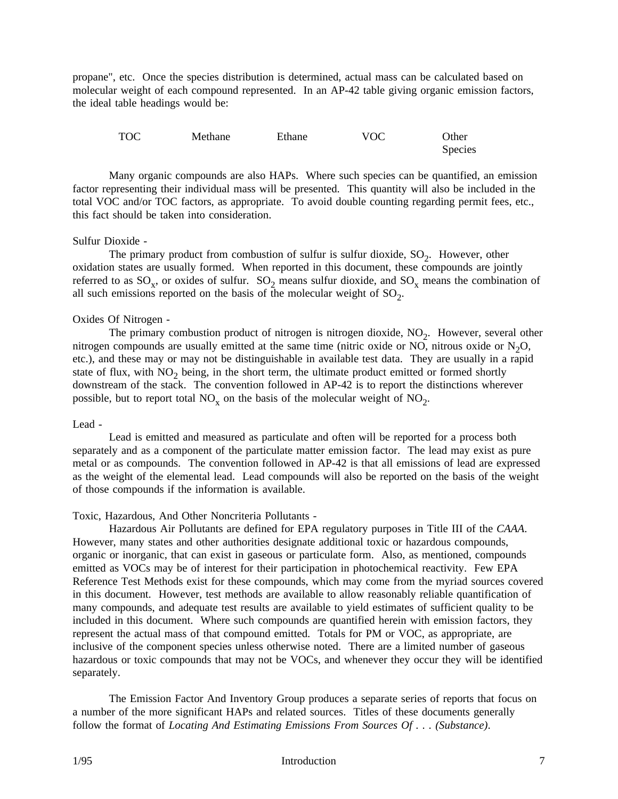propane", etc. Once the species distribution is determined, actual mass can be calculated based on molecular weight of each compound represented. In an AP-42 table giving organic emission factors, the ideal table headings would be:

| <b>TOC</b> | Methane | Ethane | <b>VOC</b> | Other          |
|------------|---------|--------|------------|----------------|
|            |         |        |            | <b>Species</b> |

Many organic compounds are also HAPs. Where such species can be quantified, an emission factor representing their individual mass will be presented. This quantity will also be included in the total VOC and/or TOC factors, as appropriate. To avoid double counting regarding permit fees, etc., this fact should be taken into consideration.

# Sulfur Dioxide -

The primary product from combustion of sulfur is sulfur dioxide,  $SO_2$ . However, other oxidation states are usually formed. When reported in this document, these compounds are jointly referred to as  $SO_x$ , or oxides of sulfur.  $SO_2$  means sulfur dioxide, and  $SO_x$  means the combination of all such emissions reported on the basis of the molecular weight of  $SO_2$ .

# Oxides Of Nitrogen -

The primary combustion product of nitrogen is nitrogen dioxide,  $NO<sub>2</sub>$ . However, several other nitrogen compounds are usually emitted at the same time (nitric oxide or NO, nitrous oxide or  $N_2O$ , etc.), and these may or may not be distinguishable in available test data. They are usually in a rapid state of flux, with  $NO<sub>2</sub>$  being, in the short term, the ultimate product emitted or formed shortly downstream of the stack. The convention followed in AP-42 is to report the distinctions wherever possible, but to report total  $NO_x$  on the basis of the molecular weight of  $NO_2$ .

#### Lead -

Lead is emitted and measured as particulate and often will be reported for a process both separately and as a component of the particulate matter emission factor. The lead may exist as pure metal or as compounds. The convention followed in AP-42 is that all emissions of lead are expressed as the weight of the elemental lead. Lead compounds will also be reported on the basis of the weight of those compounds if the information is available.

# Toxic, Hazardous, And Other Noncriteria Pollutants -

Hazardous Air Pollutants are defined for EPA regulatory purposes in Title III of the *CAAA*. However, many states and other authorities designate additional toxic or hazardous compounds, organic or inorganic, that can exist in gaseous or particulate form. Also, as mentioned, compounds emitted as VOCs may be of interest for their participation in photochemical reactivity. Few EPA Reference Test Methods exist for these compounds, which may come from the myriad sources covered in this document. However, test methods are available to allow reasonably reliable quantification of many compounds, and adequate test results are available to yield estimates of sufficient quality to be included in this document. Where such compounds are quantified herein with emission factors, they represent the actual mass of that compound emitted. Totals for PM or VOC, as appropriate, are inclusive of the component species unless otherwise noted. There are a limited number of gaseous hazardous or toxic compounds that may not be VOCs, and whenever they occur they will be identified separately.

The Emission Factor And Inventory Group produces a separate series of reports that focus on a number of the more significant HAPs and related sources. Titles of these documents generally follow the format of *Locating And Estimating Emissions From Sources Of... (Substance)*.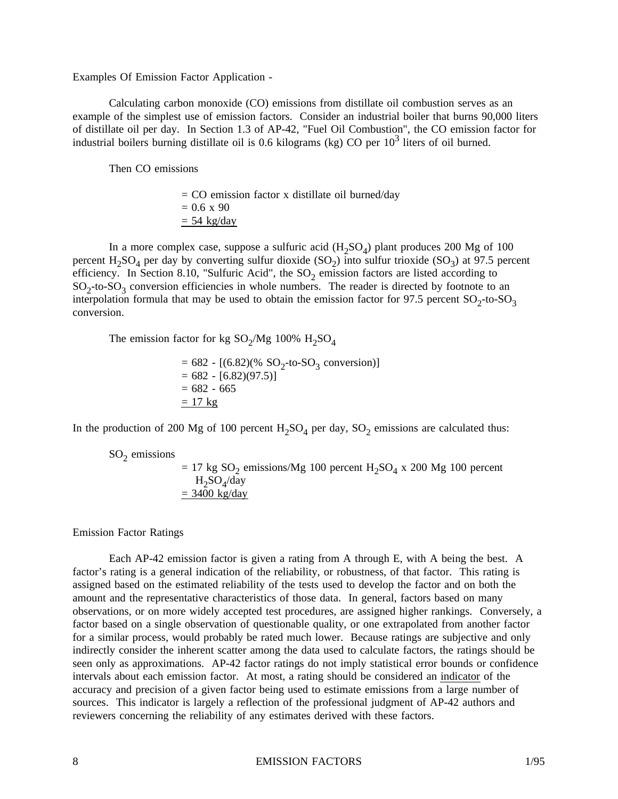Examples Of Emission Factor Application -

Calculating carbon monoxide (CO) emissions from distillate oil combustion serves as an example of the simplest use of emission factors. Consider an industrial boiler that burns 90,000 liters of distillate oil per day. In Section 1.3 of AP-42, "Fuel Oil Combustion", the CO emission factor for industrial boilers burning distillate oil is 0.6 kilograms (kg) CO per  $10<sup>3</sup>$  liters of oil burned.

Then CO emissions

 $=$  CO emission factor x distillate oil burned/day  $= 0.6 \times 90$  $= 54$  kg/day

In a more complex case, suppose a sulfuric acid  $(H_2SO_4)$  plant produces 200 Mg of 100 percent  $H_2SO_4$  per day by converting sulfur dioxide (SO<sub>2</sub>) into sulfur trioxide (SO<sub>3</sub>) at 97.5 percent efficiency. In Section 8.10, "Sulfuric Acid", the  $SO<sub>2</sub>$  emission factors are listed according to  $SO_2$ -to- $SO_3$  conversion efficiencies in whole numbers. The reader is directed by footnote to an interpolation formula that may be used to obtain the emission factor for 97.5 percent  $SO_2$ -to- $SO_3$ conversion.

The emission factor for kg  $SO_2/Mg$  100%  $H_2SO_4$ 

$$
= 682 - [(6.82)(% SO2-to-SO3 conversion)]
$$
  
= 682 - [6.82)(97.5)]  
= 682 - 665  
= 17 kg

In the production of 200 Mg of 100 percent  $H_2SO_4$  per day,  $SO_2$  emissions are calculated thus:

 $SO<sub>2</sub>$  emissions

 $= 17$  kg SO<sub>2</sub> emissions/Mg 100 percent H<sub>2</sub>SO<sub>4</sub> x 200 Mg 100 percent  $H_2SO_4$ /day  $= 3400 \text{ kg/day}$ 

Emission Factor Ratings

Each AP-42 emission factor is given a rating from A through E, with A being the best. A factor's rating is a general indication of the reliability, or robustness, of that factor. This rating is assigned based on the estimated reliability of the tests used to develop the factor and on both the amount and the representative characteristics of those data. In general, factors based on many observations, or on more widely accepted test procedures, are assigned higher rankings. Conversely, a factor based on a single observation of questionable quality, or one extrapolated from another factor for a similar process, would probably be rated much lower. Because ratings are subjective and only indirectly consider the inherent scatter among the data used to calculate factors, the ratings should be seen only as approximations. AP-42 factor ratings do not imply statistical error bounds or confidence intervals about each emission factor. At most, a rating should be considered an indicator of the accuracy and precision of a given factor being used to estimate emissions from a large number of sources. This indicator is largely a reflection of the professional judgment of AP-42 authors and reviewers concerning the reliability of any estimates derived with these factors.

#### 8 EMISSION FACTORS 1/95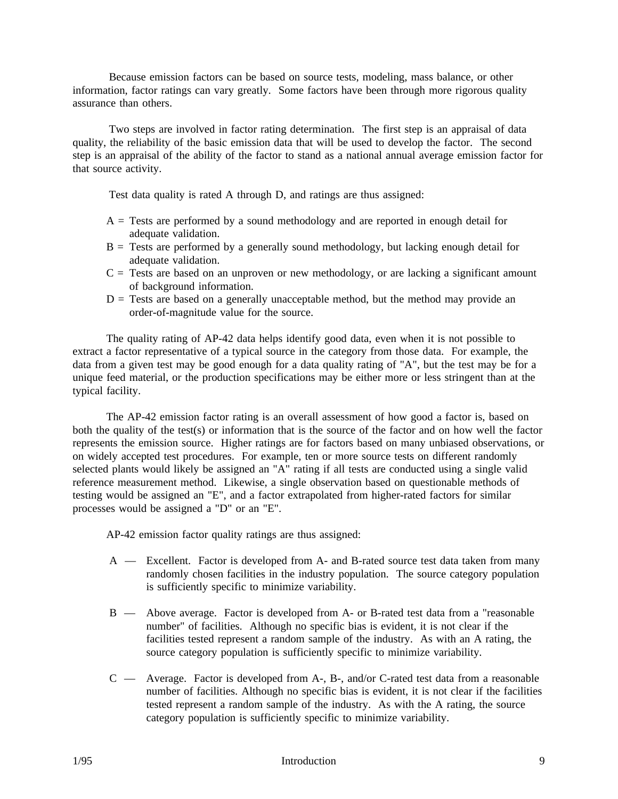Because emission factors can be based on source tests, modeling, mass balance, or other information, factor ratings can vary greatly. Some factors have been through more rigorous quality assurance than others.

Two steps are involved in factor rating determination. The first step is an appraisal of data quality, the reliability of the basic emission data that will be used to develop the factor. The second step is an appraisal of the ability of the factor to stand as a national annual average emission factor for that source activity.

Test data quality is rated A through D, and ratings are thus assigned:

- A = Tests are performed by a sound methodology and are reported in enough detail for adequate validation.
- $B =$  Tests are performed by a generally sound methodology, but lacking enough detail for adequate validation.
- $C =$  Tests are based on an unproven or new methodology, or are lacking a significant amount of background information.
- $D =$  Tests are based on a generally unacceptable method, but the method may provide an order-of-magnitude value for the source.

The quality rating of AP-42 data helps identify good data, even when it is not possible to extract a factor representative of a typical source in the category from those data. For example, the data from a given test may be good enough for a data quality rating of "A", but the test may be for a unique feed material, or the production specifications may be either more or less stringent than at the typical facility.

The AP-42 emission factor rating is an overall assessment of how good a factor is, based on both the quality of the test(s) or information that is the source of the factor and on how well the factor represents the emission source. Higher ratings are for factors based on many unbiased observations, or on widely accepted test procedures. For example, ten or more source tests on different randomly selected plants would likely be assigned an "A" rating if all tests are conducted using a single valid reference measurement method. Likewise, a single observation based on questionable methods of testing would be assigned an "E", and a factor extrapolated from higher-rated factors for similar processes would be assigned a "D" or an "E".

AP-42 emission factor quality ratings are thus assigned:

- A Excellent. Factor is developed from A- and B-rated source test data taken from many randomly chosen facilities in the industry population. The source category population is sufficiently specific to minimize variability.
- B Above average. Factor is developed from A- or B-rated test data from a "reasonable number" of facilities. Although no specific bias is evident, it is not clear if the facilities tested represent a random sample of the industry. As with an A rating, the source category population is sufficiently specific to minimize variability.
- C Average. Factor is developed from A-, B-, and/or C-rated test data from a reasonable number of facilities. Although no specific bias is evident, it is not clear if the facilities tested represent a random sample of the industry. As with the A rating, the source category population is sufficiently specific to minimize variability.